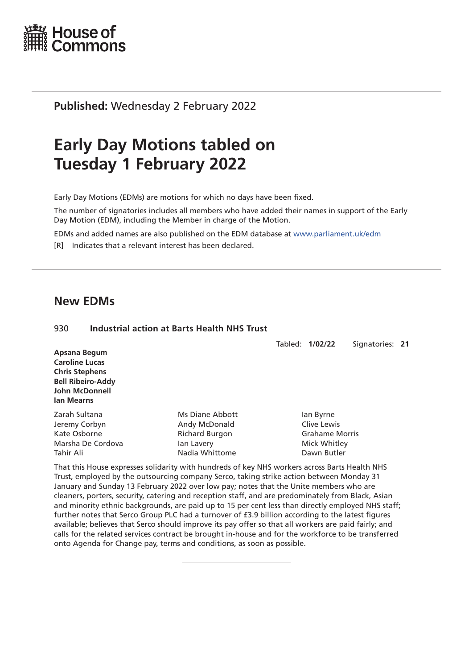

**Published:** Wednesday 2 February 2022

# **Early Day Motions tabled on Tuesday 1 February 2022**

Early Day Motions (EDMs) are motions for which no days have been fixed.

The number of signatories includes all members who have added their names in support of the Early Day Motion (EDM), including the Member in charge of the Motion.

EDMs and added names are also published on the EDM database at [www.parliament.uk/edm](http://www.parliament.uk/edm)

[R] Indicates that a relevant interest has been declared.

## **New EDMs**

| 930                                                                                                                               | <b>Industrial action at Barts Health NHS Trust</b>                                        |  |                                                                                  |                 |  |  |
|-----------------------------------------------------------------------------------------------------------------------------------|-------------------------------------------------------------------------------------------|--|----------------------------------------------------------------------------------|-----------------|--|--|
| Apsana Begum<br><b>Caroline Lucas</b><br><b>Chris Stephens</b><br><b>Bell Ribeiro-Addy</b><br><b>John McDonnell</b><br>lan Mearns |                                                                                           |  | Tabled: 1/02/22                                                                  | Signatories: 21 |  |  |
| Zarah Sultana<br>Jeremy Corbyn<br>Kate Osborne<br>Marsha De Cordova<br>Tahir Ali                                                  | Ms Diane Abbott<br>Andy McDonald<br><b>Richard Burgon</b><br>lan Lavery<br>Nadia Whittome |  | lan Byrne<br>Clive Lewis<br><b>Grahame Morris</b><br>Mick Whitley<br>Dawn Butler |                 |  |  |

That this House expresses solidarity with hundreds of key NHS workers across Barts Health NHS Trust, employed by the outsourcing company Serco, taking strike action between Monday 31 January and Sunday 13 February 2022 over low pay; notes that the Unite members who are cleaners, porters, security, catering and reception staff, and are predominately from Black, Asian and minority ethnic backgrounds, are paid up to 15 per cent less than directly employed NHS staff; further notes that Serco Group PLC had a turnover of £3.9 billion according to the latest figures available; believes that Serco should improve its pay offer so that all workers are paid fairly; and calls for the related services contract be brought in-house and for the workforce to be transferred onto Agenda for Change pay, terms and conditions, as soon as possible.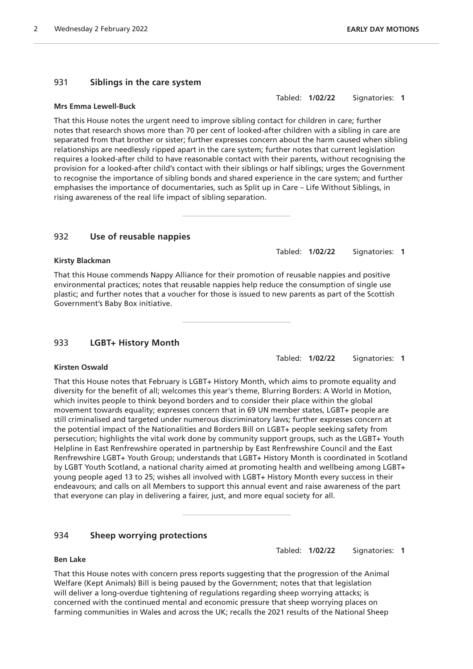#### 931 **Siblings in the care system**

#### **Mrs Emma Lewell-Buck**

That this House notes the urgent need to improve sibling contact for children in care; further notes that research shows more than 70 per cent of looked-after children with a sibling in care are separated from that brother or sister; further expresses concern about the harm caused when sibling relationships are needlessly ripped apart in the care system; further notes that current legislation requires a looked-after child to have reasonable contact with their parents, without recognising the provision for a looked-after child's contact with their siblings or half siblings; urges the Government to recognise the importance of sibling bonds and shared experience in the care system; and further emphasises the importance of documentaries, such as Split up in Care – Life Without Siblings, in rising awareness of the real life impact of sibling separation.

#### 932 **Use of reusable nappies**

#### **Kirsty Blackman**

That this House commends Nappy Alliance for their promotion of reusable nappies and positive environmental practices; notes that reusable nappies help reduce the consumption of single use plastic; and further notes that a voucher for those is issued to new parents as part of the Scottish Government's Baby Box initiative.

#### 933 **LGBT+ History Month**

Tabled: **1/02/22** Signatories: **1**

## **Kirsten Oswald**

That this House notes that February is LGBT+ History Month, which aims to promote equality and diversity for the benefit of all; welcomes this year's theme, Blurring Borders: A World in Motion, which invites people to think beyond borders and to consider their place within the global movement towards equality; expresses concern that in 69 UN member states, LGBT+ people are still criminalised and targeted under numerous discriminatory laws; further expresses concern at the potential impact of the Nationalities and Borders Bill on LGBT+ people seeking safety from persecution; highlights the vital work done by community support groups, such as the LGBT+ Youth Helpline in East Renfrewshire operated in partnership by East Renfrewshire Council and the East Renfrewshire LGBT+ Youth Group; understands that LGBT+ History Month is coordinated in Scotland by LGBT Youth Scotland, a national charity aimed at promoting health and wellbeing among LGBT+ young people aged 13 to 25; wishes all involved with LGBT+ History Month every success in their endeavours; and calls on all Members to support this annual event and raise awareness of the part that everyone can play in delivering a fairer, just, and more equal society for all.

### 934 **Sheep worrying protections**

Tabled: **1/02/22** Signatories: **1**

#### **Ben Lake**

That this House notes with concern press reports suggesting that the progression of the Animal Welfare (Kept Animals) Bill is being paused by the Government; notes that that legislation will deliver a long-overdue tightening of regulations regarding sheep worrying attacks; is concerned with the continued mental and economic pressure that sheep worrying places on farming communities in Wales and across the UK; recalls the 2021 results of the National Sheep

Tabled: **1/02/22** Signatories: **1**

Tabled: **1/02/22** Signatories: **1**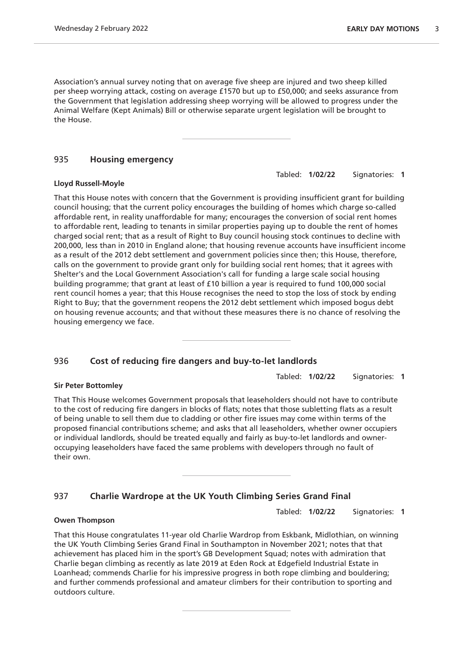Association's annual survey noting that on average five sheep are injured and two sheep killed per sheep worrying attack, costing on average £1570 but up to £50,000; and seeks assurance from the Government that legislation addressing sheep worrying will be allowed to progress under the Animal Welfare (Kept Animals) Bill or otherwise separate urgent legislation will be brought to the House.

#### 935 **Housing emergency**

#### **Lloyd Russell-Moyle**

That this House notes with concern that the Government is providing insufficient grant for building council housing; that the current policy encourages the building of homes which charge so-called affordable rent, in reality unaffordable for many; encourages the conversion of social rent homes to affordable rent, leading to tenants in similar properties paying up to double the rent of homes charged social rent; that as a result of Right to Buy council housing stock continues to decline with 200,000, less than in 2010 in England alone; that housing revenue accounts have insufficient income as a result of the 2012 debt settlement and government policies since then; this House, therefore, calls on the government to provide grant only for building social rent homes; that it agrees with Shelter's and the Local Government Association's call for funding a large scale social housing building programme; that grant at least of £10 billion a year is required to fund 100,000 social rent council homes a year; that this House recognises the need to stop the loss of stock by ending Right to Buy; that the government reopens the 2012 debt settlement which imposed bogus debt on housing revenue accounts; and that without these measures there is no chance of resolving the housing emergency we face.

### 936 **Cost of reducing fire dangers and buy-to-let landlords**

#### **Sir Peter Bottomley**

That This House welcomes Government proposals that leaseholders should not have to contribute to the cost of reducing fire dangers in blocks of flats; notes that those subletting flats as a result of being unable to sell them due to cladding or other fire issues may come within terms of the proposed financial contributions scheme; and asks that all leaseholders, whether owner occupiers or individual landlords, should be treated equally and fairly as buy-to-let landlords and owneroccupying leaseholders have faced the same problems with developers through no fault of their own.

### 937 **Charlie Wardrope at the UK Youth Climbing Series Grand Final**

Tabled: **1/02/22** Signatories: **1**

#### **Owen Thompson**

That this House congratulates 11-year old Charlie Wardrop from Eskbank, Midlothian, on winning the UK Youth Climbing Series Grand Final in Southampton in November 2021; notes that that achievement has placed him in the sport's GB Development Squad; notes with admiration that Charlie began climbing as recently as late 2019 at Eden Rock at Edgefield Industrial Estate in Loanhead; commends Charlie for his impressive progress in both rope climbing and bouldering; and further commends professional and amateur climbers for their contribution to sporting and outdoors culture.

Tabled: **1/02/22** Signatories: **1**

Tabled: **1/02/22** Signatories: **1**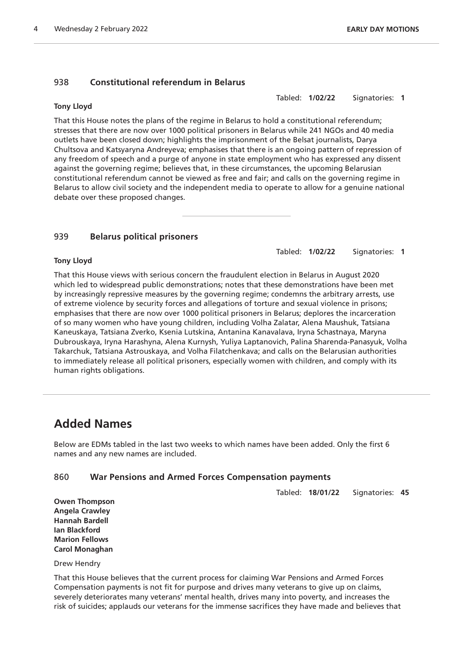#### 938 **Constitutional referendum in Belarus**

#### **Tony Lloyd**

Tabled: **1/02/22** Signatories: **1**

That this House notes the plans of the regime in Belarus to hold a constitutional referendum; stresses that there are now over 1000 political prisoners in Belarus while 241 NGOs and 40 media outlets have been closed down; highlights the imprisonment of the Belsat journalists, Darya Chultsova and Katsyaryna Andreyeva; emphasises that there is an ongoing pattern of repression of any freedom of speech and a purge of anyone in state employment who has expressed any dissent against the governing regime; believes that, in these circumstances, the upcoming Belarusian constitutional referendum cannot be viewed as free and fair; and calls on the governing regime in Belarus to allow civil society and the independent media to operate to allow for a genuine national debate over these proposed changes.

#### 939 **Belarus political prisoners**

Tabled: **1/02/22** Signatories: **1**

#### **Tony Lloyd**

That this House views with serious concern the fraudulent election in Belarus in August 2020 which led to widespread public demonstrations; notes that these demonstrations have been met by increasingly repressive measures by the governing regime; condemns the arbitrary arrests, use of extreme violence by security forces and allegations of torture and sexual violence in prisons; emphasises that there are now over 1000 political prisoners in Belarus; deplores the incarceration of so many women who have young children, including Volha Zalatar, Alena Maushuk, Tatsiana Kaneuskaya, Tatsiana Zverko, Ksenia Lutskina, Antanina Kanavalava, Iryna Schastnaya, Maryna Dubrouskaya, Iryna Harashyna, Alena Kurnysh, Yuliya Laptanovich, Palina Sharenda-Panasyuk, Volha Takarchuk, Tatsiana Astrouskaya, and Volha Filatchenkava; and calls on the Belarusian authorities to immediately release all political prisoners, especially women with children, and comply with its human rights obligations.

## **Added Names**

Below are EDMs tabled in the last two weeks to which names have been added. Only the first 6 names and any new names are included.

#### 860 **War Pensions and Armed Forces Compensation payments**

Tabled: **18/01/22** Signatories: **45**

**Owen Thompson Angela Crawley Hannah Bardell Ian Blackford Marion Fellows Carol Monaghan**

Drew Hendry

That this House believes that the current process for claiming War Pensions and Armed Forces Compensation payments is not fit for purpose and drives many veterans to give up on claims, severely deteriorates many veterans' mental health, drives many into poverty, and increases the risk of suicides; applauds our veterans for the immense sacrifices they have made and believes that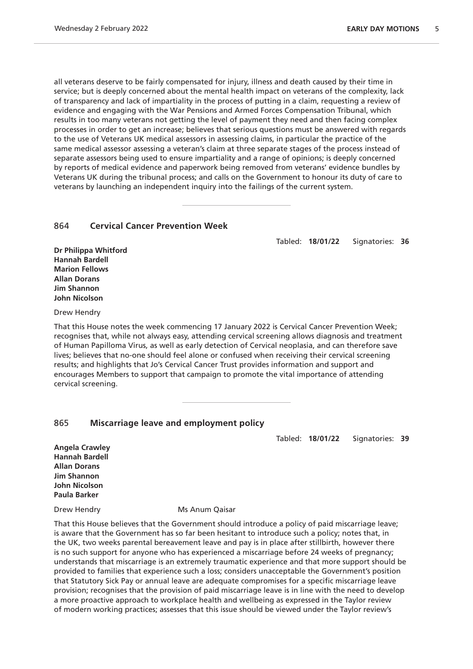all veterans deserve to be fairly compensated for injury, illness and death caused by their time in service; but is deeply concerned about the mental health impact on veterans of the complexity, lack of transparency and lack of impartiality in the process of putting in a claim, requesting a review of evidence and engaging with the War Pensions and Armed Forces Compensation Tribunal, which results in too many veterans not getting the level of payment they need and then facing complex processes in order to get an increase; believes that serious questions must be answered with regards to the use of Veterans UK medical assessors in assessing claims, in particular the practice of the same medical assessor assessing a veteran's claim at three separate stages of the process instead of separate assessors being used to ensure impartiality and a range of opinions; is deeply concerned by reports of medical evidence and paperwork being removed from veterans' evidence bundles by Veterans UK during the tribunal process; and calls on the Government to honour its duty of care to veterans by launching an independent inquiry into the failings of the current system.

#### 864 **Cervical Cancer Prevention Week**

Tabled: **18/01/22** Signatories: **36**

**Dr Philippa Whitford Hannah Bardell Marion Fellows Allan Dorans Jim Shannon John Nicolson**

Drew Hendry

That this House notes the week commencing 17 January 2022 is Cervical Cancer Prevention Week; recognises that, while not always easy, attending cervical screening allows diagnosis and treatment of Human Papilloma Virus, as well as early detection of Cervical neoplasia, and can therefore save lives; believes that no-one should feel alone or confused when receiving their cervical screening results; and highlights that Jo's Cervical Cancer Trust provides information and support and encourages Members to support that campaign to promote the vital importance of attending cervical screening.

#### 865 **Miscarriage leave and employment policy**

Tabled: **18/01/22** Signatories: **39**

**Angela Crawley Hannah Bardell Allan Dorans Jim Shannon John Nicolson Paula Barker**

Drew Hendry Ms Anum Qaisar

That this House believes that the Government should introduce a policy of paid miscarriage leave; is aware that the Government has so far been hesitant to introduce such a policy; notes that, in the UK, two weeks parental bereavement leave and pay is in place after stillbirth, however there is no such support for anyone who has experienced a miscarriage before 24 weeks of pregnancy; understands that miscarriage is an extremely traumatic experience and that more support should be provided to families that experience such a loss; considers unacceptable the Government's position that Statutory Sick Pay or annual leave are adequate compromises for a specific miscarriage leave provision; recognises that the provision of paid miscarriage leave is in line with the need to develop a more proactive approach to workplace health and wellbeing as expressed in the Taylor review of modern working practices; assesses that this issue should be viewed under the Taylor review's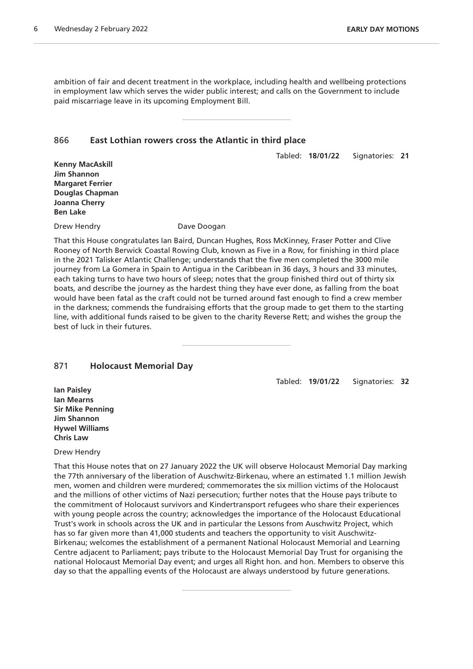ambition of fair and decent treatment in the workplace, including health and wellbeing protections in employment law which serves the wider public interest; and calls on the Government to include paid miscarriage leave in its upcoming Employment Bill.

#### 866 **East Lothian rowers cross the Atlantic in third place**

Tabled: **18/01/22** Signatories: **21**

**Kenny MacAskill Jim Shannon Margaret Ferrier Douglas Chapman Joanna Cherry Ben Lake**

Drew Hendry **Dave Doogan** 

That this House congratulates Ian Baird, Duncan Hughes, Ross McKinney, Fraser Potter and Clive Rooney of North Berwick Coastal Rowing Club, known as Five in a Row, for finishing in third place in the 2021 Talisker Atlantic Challenge; understands that the five men completed the 3000 mile journey from La Gomera in Spain to Antigua in the Caribbean in 36 days, 3 hours and 33 minutes, each taking turns to have two hours of sleep; notes that the group finished third out of thirty six boats, and describe the journey as the hardest thing they have ever done, as falling from the boat would have been fatal as the craft could not be turned around fast enough to find a crew member in the darkness; commends the fundraising efforts that the group made to get them to the starting line, with additional funds raised to be given to the charity Reverse Rett; and wishes the group the best of luck in their futures.

#### 871 **Holocaust Memorial Day**

Tabled: **19/01/22** Signatories: **32**

**Ian Paisley Ian Mearns Sir Mike Penning Jim Shannon Hywel Williams Chris Law**

#### Drew Hendry

That this House notes that on 27 January 2022 the UK will observe Holocaust Memorial Day marking the 77th anniversary of the liberation of Auschwitz-Birkenau, where an estimated 1.1 million Jewish men, women and children were murdered; commemorates the six million victims of the Holocaust and the millions of other victims of Nazi persecution; further notes that the House pays tribute to the commitment of Holocaust survivors and Kindertransport refugees who share their experiences with young people across the country; acknowledges the importance of the Holocaust Educational Trust's work in schools across the UK and in particular the Lessons from Auschwitz Project, which has so far given more than 41,000 students and teachers the opportunity to visit Auschwitz-Birkenau; welcomes the establishment of a permanent National Holocaust Memorial and Learning Centre adjacent to Parliament; pays tribute to the Holocaust Memorial Day Trust for organising the national Holocaust Memorial Day event; and urges all Right hon. and hon. Members to observe this day so that the appalling events of the Holocaust are always understood by future generations.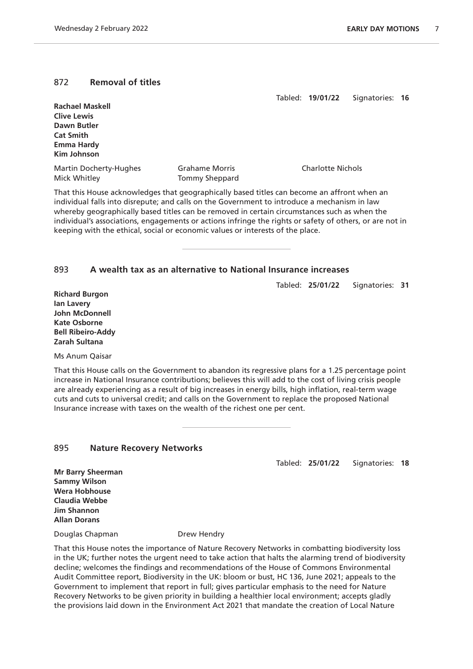#### 872 **Removal of titles**

Tabled: **19/01/22** Signatories: **16**

| <b>Rachael Maskell</b> |                       |                          |
|------------------------|-----------------------|--------------------------|
| <b>Clive Lewis</b>     |                       |                          |
| Dawn Butler            |                       |                          |
| <b>Cat Smith</b>       |                       |                          |
| <b>Emma Hardy</b>      |                       |                          |
| Kim Johnson            |                       |                          |
| Martin Docherty-Hughes | <b>Grahame Morris</b> | <b>Charlotte Nichols</b> |
| Mick Whitley           | Tommy Sheppard        |                          |

That this House acknowledges that geographically based titles can become an affront when an individual falls into disrepute; and calls on the Government to introduce a mechanism in law whereby geographically based titles can be removed in certain circumstances such as when the individual's associations, engagements or actions infringe the rights or safety of others, or are not in keeping with the ethical, social or economic values or interests of the place.

#### 893 **A wealth tax as an alternative to National Insurance increases**

Tabled: **25/01/22** Signatories: **31**

**Richard Burgon Ian Lavery John McDonnell Kate Osborne Bell Ribeiro-Addy Zarah Sultana**

Ms Anum Qaisar

That this House calls on the Government to abandon its regressive plans for a 1.25 percentage point increase in National Insurance contributions; believes this will add to the cost of living crisis people are already experiencing as a result of big increases in energy bills, high inflation, real-term wage cuts and cuts to universal credit; and calls on the Government to replace the proposed National Insurance increase with taxes on the wealth of the richest one per cent.

#### 895 **Nature Recovery Networks**

Tabled: **25/01/22** Signatories: **18**

**Mr Barry Sheerman Sammy Wilson Wera Hobhouse Claudia Webbe Jim Shannon Allan Dorans**

Douglas Chapman Drew Hendry

That this House notes the importance of Nature Recovery Networks in combatting biodiversity loss in the UK; further notes the urgent need to take action that halts the alarming trend of biodiversity decline; welcomes the findings and recommendations of the House of Commons Environmental Audit Committee report, Biodiversity in the UK: bloom or bust, HC 136, June 2021; appeals to the Government to implement that report in full; gives particular emphasis to the need for Nature Recovery Networks to be given priority in building a healthier local environment; accepts gladly the provisions laid down in the Environment Act 2021 that mandate the creation of Local Nature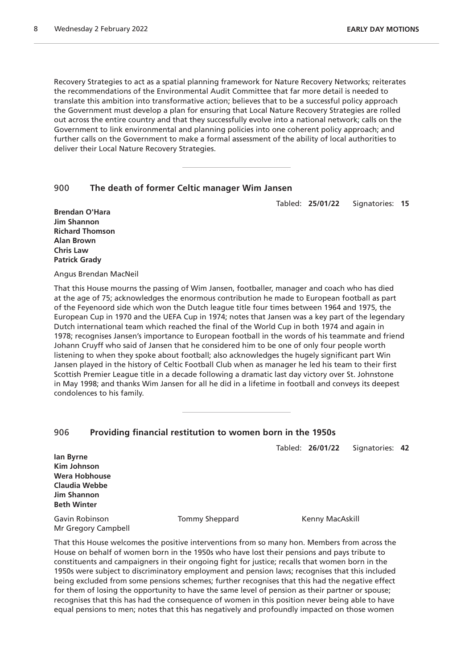Recovery Strategies to act as a spatial planning framework for Nature Recovery Networks; reiterates the recommendations of the Environmental Audit Committee that far more detail is needed to translate this ambition into transformative action; believes that to be a successful policy approach the Government must develop a plan for ensuring that Local Nature Recovery Strategies are rolled out across the entire country and that they successfully evolve into a national network; calls on the Government to link environmental and planning policies into one coherent policy approach; and further calls on the Government to make a formal assessment of the ability of local authorities to deliver their Local Nature Recovery Strategies.

#### 900 **The death of former Celtic manager Wim Jansen**

Tabled: **25/01/22** Signatories: **15**

**Brendan O'Hara Jim Shannon Richard Thomson Alan Brown Chris Law Patrick Grady**

Angus Brendan MacNeil

That this House mourns the passing of Wim Jansen, footballer, manager and coach who has died at the age of 75; acknowledges the enormous contribution he made to European football as part of the Feyenoord side which won the Dutch league title four times between 1964 and 1975, the European Cup in 1970 and the UEFA Cup in 1974; notes that Jansen was a key part of the legendary Dutch international team which reached the final of the World Cup in both 1974 and again in 1978; recognises Jansen's importance to European football in the words of his teammate and friend Johann Cruyff who said of Jansen that he considered him to be one of only four people worth listening to when they spoke about football; also acknowledges the hugely significant part Win Jansen played in the history of Celtic Football Club when as manager he led his team to their first Scottish Premier League title in a decade following a dramatic last day victory over St. Johnstone in May 1998; and thanks Wim Jansen for all he did in a lifetime in football and conveys its deepest condolences to his family.

| 906                | Providing financial restitution to women born in the 1950s |  |                  |                 |  |  |
|--------------------|------------------------------------------------------------|--|------------------|-----------------|--|--|
|                    |                                                            |  | Tabled: 26/01/22 | Signatories: 42 |  |  |
| lan Byrne          |                                                            |  |                  |                 |  |  |
| Kim Johnson        |                                                            |  |                  |                 |  |  |
|                    | Wera Hobhouse                                              |  |                  |                 |  |  |
|                    | Claudia Webbe                                              |  |                  |                 |  |  |
| <b>Jim Shannon</b> |                                                            |  |                  |                 |  |  |

Gavin Robinson Tommy Sheppard Kenny MacAskill Mr Gregory Campbell

**Beth Winter**

That this House welcomes the positive interventions from so many hon. Members from across the House on behalf of women born in the 1950s who have lost their pensions and pays tribute to constituents and campaigners in their ongoing fight for justice; recalls that women born in the 1950s were subject to discriminatory employment and pension laws; recognises that this included being excluded from some pensions schemes; further recognises that this had the negative effect for them of losing the opportunity to have the same level of pension as their partner or spouse; recognises that this has had the consequence of women in this position never being able to have equal pensions to men; notes that this has negatively and profoundly impacted on those women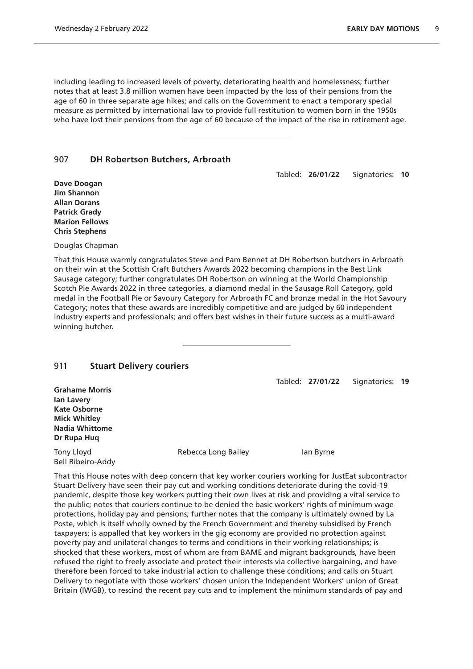including leading to increased levels of poverty, deteriorating health and homelessness; further notes that at least 3.8 million women have been impacted by the loss of their pensions from the age of 60 in three separate age hikes; and calls on the Government to enact a temporary special measure as permitted by international law to provide full restitution to women born in the 1950s who have lost their pensions from the age of 60 because of the impact of the rise in retirement age.

#### 907 **DH Robertson Butchers, Arbroath**

Tabled: **26/01/22** Signatories: **10**

**Dave Doogan Jim Shannon Allan Dorans Patrick Grady Marion Fellows Chris Stephens**

Douglas Chapman

That this House warmly congratulates Steve and Pam Bennet at DH Robertson butchers in Arbroath on their win at the Scottish Craft Butchers Awards 2022 becoming champions in the Best Link Sausage category; further congratulates DH Robertson on winning at the World Championship Scotch Pie Awards 2022 in three categories, a diamond medal in the Sausage Roll Category, gold medal in the Football Pie or Savoury Category for Arbroath FC and bronze medal in the Hot Savoury Category; notes that these awards are incredibly competitive and are judged by 60 independent industry experts and professionals; and offers best wishes in their future success as a multi-award winning butcher.

#### 911 **Stuart Delivery couriers**

Tabled: **27/01/22** Signatories: **19**

**Grahame Morris Ian Lavery Kate Osborne Mick Whitley Nadia Whittome Dr Rupa Huq**

Bell Ribeiro-Addy

Tony Lloyd **Rebecca Long Bailey** Ian Byrne

That this House notes with deep concern that key worker couriers working for JustEat subcontractor Stuart Delivery have seen their pay cut and working conditions deteriorate during the covid-19 pandemic, despite those key workers putting their own lives at risk and providing a vital service to the public; notes that couriers continue to be denied the basic workers' rights of minimum wage protections, holiday pay and pensions; further notes that the company is ultimately owned by La Poste, which is itself wholly owned by the French Government and thereby subsidised by French taxpayers; is appalled that key workers in the gig economy are provided no protection against poverty pay and unilateral changes to terms and conditions in their working relationships; is shocked that these workers, most of whom are from BAME and migrant backgrounds, have been refused the right to freely associate and protect their interests via collective bargaining, and have therefore been forced to take industrial action to challenge these conditions; and calls on Stuart Delivery to negotiate with those workers' chosen union the Independent Workers' union of Great Britain (IWGB), to rescind the recent pay cuts and to implement the minimum standards of pay and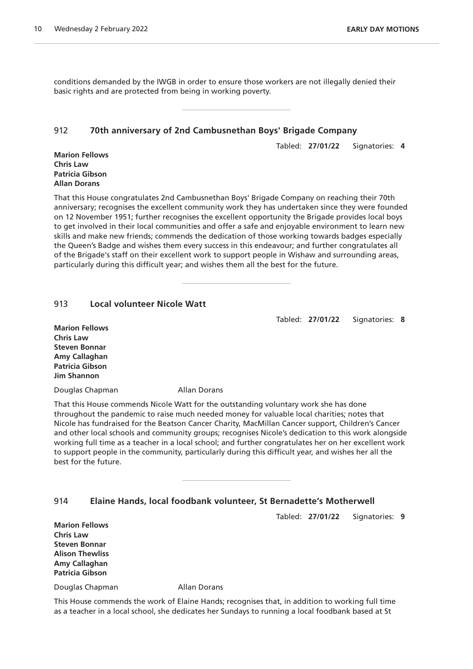conditions demanded by the IWGB in order to ensure those workers are not illegally denied their basic rights and are protected from being in working poverty.

#### 912 **70th anniversary of 2nd Cambusnethan Boys' Brigade Company**

Tabled: **27/01/22** Signatories: **4**

**Marion Fellows Chris Law Patricia Gibson Allan Dorans**

That this House congratulates 2nd Cambusnethan Boys' Brigade Company on reaching their 70th anniversary; recognises the excellent community work they has undertaken since they were founded on 12 November 1951; further recognises the excellent opportunity the Brigade provides local boys to get involved in their local communities and offer a safe and enjoyable environment to learn new skills and make new friends; commends the dedication of those working towards badges especially the Queen's Badge and wishes them every success in this endeavour; and further congratulates all of the Brigade's staff on their excellent work to support people in Wishaw and surrounding areas, particularly during this difficult year; and wishes them all the best for the future.

#### 913 **Local volunteer Nicole Watt**

Tabled: **27/01/22** Signatories: **8**

**Marion Fellows Chris Law Steven Bonnar Amy Callaghan Patricia Gibson Jim Shannon**

Douglas Chapman **Allan Dorans** 

That this House commends Nicole Watt for the outstanding voluntary work she has done throughout the pandemic to raise much needed money for valuable local charities; notes that Nicole has fundraised for the Beatson Cancer Charity, MacMillan Cancer support, Children's Cancer and other local schools and community groups; recognises Nicole's dedication to this work alongside working full time as a teacher in a local school; and further congratulates her on her excellent work to support people in the community, particularly during this difficult year, and wishes her all the best for the future.

#### 914 **Elaine Hands, local foodbank volunteer, St Bernadette's Motherwell**

Tabled: **27/01/22** Signatories: **9**

**Marion Fellows Chris Law Steven Bonnar Alison Thewliss Amy Callaghan Patricia Gibson**

Douglas Chapman Allan Dorans

This House commends the work of Elaine Hands; recognises that, in addition to working full time as a teacher in a local school, she dedicates her Sundays to running a local foodbank based at St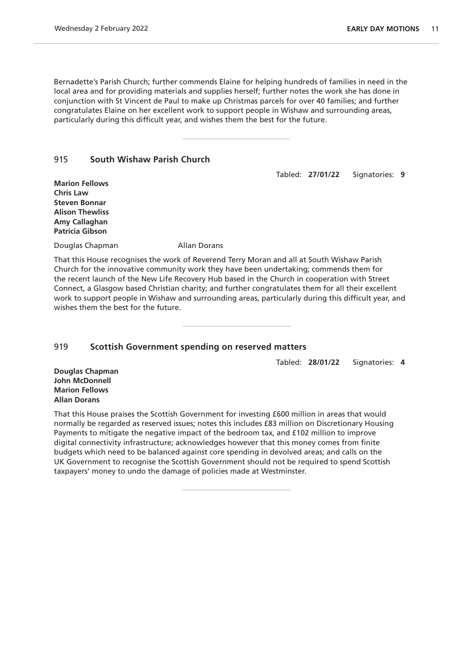Bernadette's Parish Church; further commends Elaine for helping hundreds of families in need in the local area and for providing materials and supplies herself; further notes the work she has done in conjunction with St Vincent de Paul to make up Christmas parcels for over 40 families; and further congratulates Elaine on her excellent work to support people in Wishaw and surrounding areas, particularly during this difficult year, and wishes them the best for the future.

#### 915 **South Wishaw Parish Church**

Tabled: **27/01/22** Signatories: **9**

**Marion Fellows Chris Law Steven Bonnar Alison Thewliss Amy Callaghan Patricia Gibson**

Douglas Chapman **Allan Dorans** 

That this House recognises the work of Reverend Terry Moran and all at South Wishaw Parish Church for the innovative community work they have been undertaking; commends them for the recent launch of the New Life Recovery Hub based in the Church in cooperation with Street Connect, a Glasgow based Christian charity; and further congratulates them for all their excellent work to support people in Wishaw and surrounding areas, particularly during this difficult year, and wishes them the best for the future.

#### 919 **Scottish Government spending on reserved matters**

Tabled: **28/01/22** Signatories: **4**

**Douglas Chapman John McDonnell Marion Fellows Allan Dorans**

That this House praises the Scottish Government for investing £600 million in areas that would normally be regarded as reserved issues; notes this includes £83 million on Discretionary Housing Payments to mitigate the negative impact of the bedroom tax, and £102 million to improve digital connectivity infrastructure; acknowledges however that this money comes from finite budgets which need to be balanced against core spending in devolved areas; and calls on the UK Government to recognise the Scottish Government should not be required to spend Scottish taxpayers' money to undo the damage of policies made at Westminster.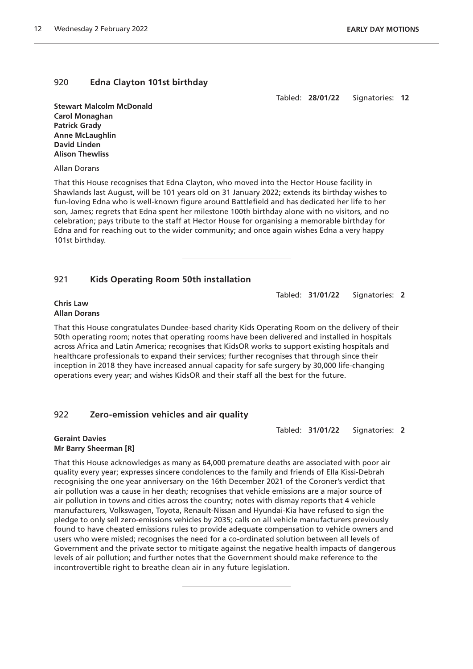#### 920 **Edna Clayton 101st birthday**

Tabled: **28/01/22** Signatories: **12**

**Stewart Malcolm McDonald Carol Monaghan Patrick Grady Anne McLaughlin David Linden Alison Thewliss**

Allan Dorans

That this House recognises that Edna Clayton, who moved into the Hector House facility in Shawlands last August, will be 101 years old on 31 January 2022; extends its birthday wishes to fun-loving Edna who is well-known figure around Battlefield and has dedicated her life to her son, James; regrets that Edna spent her milestone 100th birthday alone with no visitors, and no celebration; pays tribute to the staff at Hector House for organising a memorable birthday for Edna and for reaching out to the wider community; and once again wishes Edna a very happy 101st birthday.

#### 921 **Kids Operating Room 50th installation**

Tabled: **31/01/22** Signatories: **2**

#### **Chris Law Allan Dorans**

That this House congratulates Dundee-based charity Kids Operating Room on the delivery of their 50th operating room; notes that operating rooms have been delivered and installed in hospitals across Africa and Latin America; recognises that KidsOR works to support existing hospitals and healthcare professionals to expand their services; further recognises that through since their inception in 2018 they have increased annual capacity for safe surgery by 30,000 life-changing operations every year; and wishes KidsOR and their staff all the best for the future.

### 922 **Zero-emission vehicles and air quality**

Tabled: **31/01/22** Signatories: **2**

#### **Geraint Davies Mr Barry Sheerman [R]**

That this House acknowledges as many as 64,000 premature deaths are associated with poor air quality every year; expresses sincere condolences to the family and friends of Ella Kissi-Debrah recognising the one year anniversary on the 16th December 2021 of the Coroner's verdict that air pollution was a cause in her death; recognises that vehicle emissions are a major source of air pollution in towns and cities across the country; notes with dismay reports that 4 vehicle manufacturers, Volkswagen, Toyota, Renault-Nissan and Hyundai-Kia have refused to sign the pledge to only sell zero-emissions vehicles by 2035; calls on all vehicle manufacturers previously found to have cheated emissions rules to provide adequate compensation to vehicle owners and users who were misled; recognises the need for a co-ordinated solution between all levels of Government and the private sector to mitigate against the negative health impacts of dangerous levels of air pollution; and further notes that the Government should make reference to the incontrovertible right to breathe clean air in any future legislation.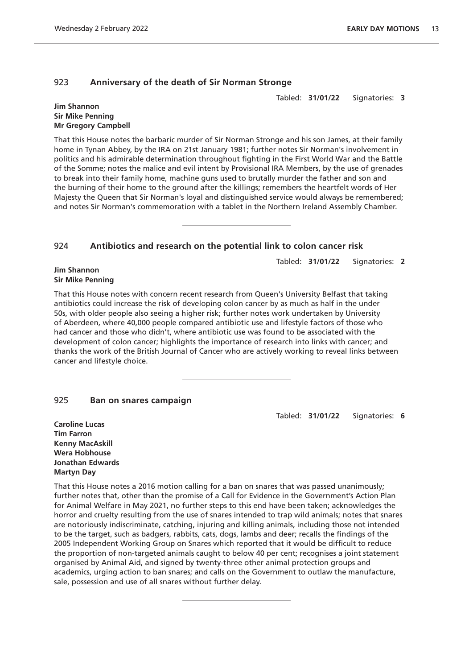#### 923 **Anniversary of the death of Sir Norman Stronge**

Tabled: **31/01/22** Signatories: **3**

#### **Jim Shannon Sir Mike Penning Mr Gregory Campbell**

That this House notes the barbaric murder of Sir Norman Stronge and his son James, at their family home in Tynan Abbey, by the IRA on 21st January 1981; further notes Sir Norman's involvement in politics and his admirable determination throughout fighting in the First World War and the Battle of the Somme; notes the malice and evil intent by Provisional IRA Members, by the use of grenades to break into their family home, machine guns used to brutally murder the father and son and the burning of their home to the ground after the killings; remembers the heartfelt words of Her Majesty the Queen that Sir Norman's loyal and distinguished service would always be remembered; and notes Sir Norman's commemoration with a tablet in the Northern Ireland Assembly Chamber.

#### 924 **Antibiotics and research on the potential link to colon cancer risk**

Tabled: **31/01/22** Signatories: **2**

#### **Jim Shannon Sir Mike Penning**

That this House notes with concern recent research from Queen's University Belfast that taking antibiotics could increase the risk of developing colon cancer by as much as half in the under 50s, with older people also seeing a higher risk; further notes work undertaken by University of Aberdeen, where 40,000 people compared antibiotic use and lifestyle factors of those who had cancer and those who didn't, where antibiotic use was found to be associated with the development of colon cancer; highlights the importance of research into links with cancer; and thanks the work of the British Journal of Cancer who are actively working to reveal links between cancer and lifestyle choice.

#### 925 **Ban on snares campaign**

Tabled: **31/01/22** Signatories: **6**

**Caroline Lucas Tim Farron Kenny MacAskill Wera Hobhouse Jonathan Edwards Martyn Day**

That this House notes a 2016 motion calling for a ban on snares that was passed unanimously; further notes that, other than the promise of a Call for Evidence in the Government's Action Plan for Animal Welfare in May 2021, no further steps to this end have been taken; acknowledges the horror and cruelty resulting from the use of snares intended to trap wild animals; notes that snares are notoriously indiscriminate, catching, injuring and killing animals, including those not intended to be the target, such as badgers, rabbits, cats, dogs, lambs and deer; recalls the findings of the 2005 Independent Working Group on Snares which reported that it would be difficult to reduce the proportion of non-targeted animals caught to below 40 per cent; recognises a joint statement organised by Animal Aid, and signed by twenty-three other animal protection groups and academics, urging action to ban snares; and calls on the Government to outlaw the manufacture, sale, possession and use of all snares without further delay.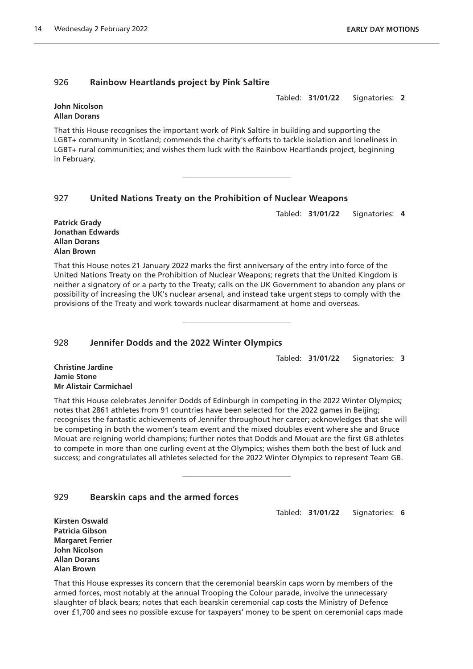#### 926 **Rainbow Heartlands project by Pink Saltire**

Tabled: **31/01/22** Signatories: **2**

#### **John Nicolson Allan Dorans**

That this House recognises the important work of Pink Saltire in building and supporting the LGBT+ community in Scotland; commends the charity's efforts to tackle isolation and loneliness in LGBT+ rural communities; and wishes them luck with the Rainbow Heartlands project, beginning in February.

### 927 **United Nations Treaty on the Prohibition of Nuclear Weapons**

Tabled: **31/01/22** Signatories: **4**

**Patrick Grady Jonathan Edwards Allan Dorans Alan Brown**

That this House notes 21 January 2022 marks the first anniversary of the entry into force of the United Nations Treaty on the Prohibition of Nuclear Weapons; regrets that the United Kingdom is neither a signatory of or a party to the Treaty; calls on the UK Government to abandon any plans or possibility of increasing the UK's nuclear arsenal, and instead take urgent steps to comply with the provisions of the Treaty and work towards nuclear disarmament at home and overseas.

#### 928 **Jennifer Dodds and the 2022 Winter Olympics**

Tabled: **31/01/22** Signatories: **3**

**Christine Jardine Jamie Stone Mr Alistair Carmichael**

That this House celebrates Jennifer Dodds of Edinburgh in competing in the 2022 Winter Olympics; notes that 2861 athletes from 91 countries have been selected for the 2022 games in Beijing; recognises the fantastic achievements of Jennifer throughout her career; acknowledges that she will be competing in both the women's team event and the mixed doubles event where she and Bruce Mouat are reigning world champions; further notes that Dodds and Mouat are the first GB athletes to compete in more than one curling event at the Olympics; wishes them both the best of luck and success; and congratulates all athletes selected for the 2022 Winter Olympics to represent Team GB.

### 929 **Bearskin caps and the armed forces**

Tabled: **31/01/22** Signatories: **6**

**Kirsten Oswald Patricia Gibson Margaret Ferrier John Nicolson Allan Dorans Alan Brown**

That this House expresses its concern that the ceremonial bearskin caps worn by members of the armed forces, most notably at the annual Trooping the Colour parade, involve the unnecessary slaughter of black bears; notes that each bearskin ceremonial cap costs the Ministry of Defence over £1,700 and sees no possible excuse for taxpayers' money to be spent on ceremonial caps made